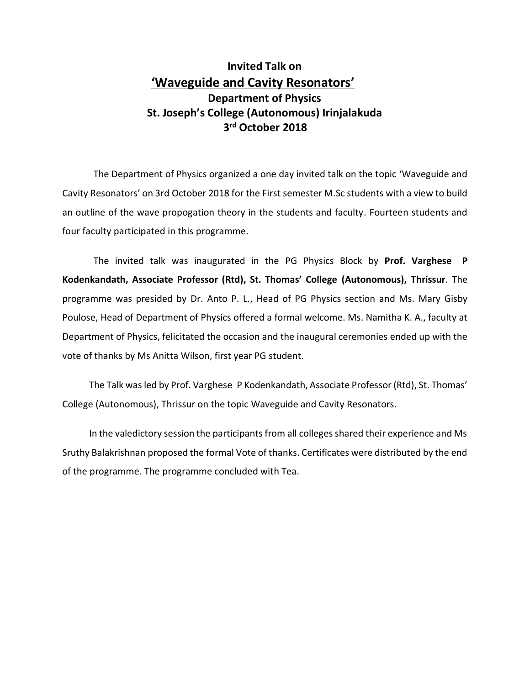## **Invited Talk on 'Waveguide and Cavity Resonators' Department of Physics St. Joseph's College (Autonomous) Irinjalakuda 3 rd October 2018**

The Department of Physics organized a one day invited talk on the topic 'Waveguide and Cavity Resonators' on 3rd October 2018 for the First semester M.Sc students with a view to build an outline of the wave propogation theory in the students and faculty. Fourteen students and four faculty participated in this programme.

The invited talk was inaugurated in the PG Physics Block by **Prof. Varghese P Kodenkandath, Associate Professor (Rtd), St. Thomas' College (Autonomous), Thrissur**. The programme was presided by Dr. Anto P. L., Head of PG Physics section and Ms. Mary Gisby Poulose, Head of Department of Physics offered a formal welcome. Ms. Namitha K. A., faculty at Department of Physics, felicitated the occasion and the inaugural ceremonies ended up with the vote of thanks by Ms Anitta Wilson, first year PG student.

The Talk wasled by Prof. Varghese P Kodenkandath, Associate Professor (Rtd), St. Thomas' College (Autonomous), Thrissur on the topic Waveguide and Cavity Resonators.

In the valedictory session the participants from all colleges shared their experience and Ms Sruthy Balakrishnan proposed the formal Vote of thanks. Certificates were distributed by the end of the programme. The programme concluded with Tea.